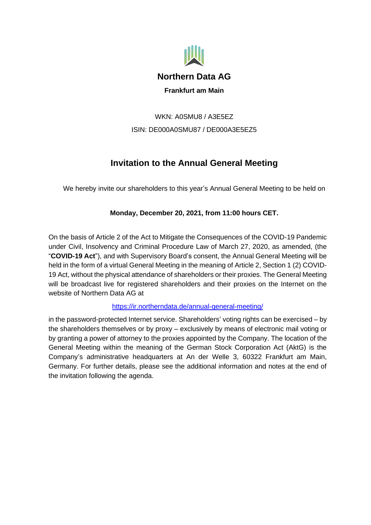

WKN: A0SMU8 / A3E5EZ ISIN: DE000A0SMU87 / DE000A3E5EZ5

# **Invitation to the Annual General Meeting**

We hereby invite our shareholders to this year's Annual General Meeting to be held on

# **Monday, December 20, 2021, from 11:00 hours CET.**

On the basis of Article 2 of the Act to Mitigate the Consequences of the COVID-19 Pandemic under Civil, Insolvency and Criminal Procedure Law of March 27, 2020, as amended, (the "**COVID-19 Act**"), and with Supervisory Board's consent, the Annual General Meeting will be held in the form of a virtual General Meeting in the meaning of Article 2, Section 1 (2) COVID-19 Act, without the physical attendance of shareholders or their proxies. The General Meeting will be broadcast live for registered shareholders and their proxies on the Internet on the website of Northern Data AG at

# <https://ir.northerndata.de/annual-general-meeting/>

in the password-protected Internet service. Shareholders' voting rights can be exercised – by the shareholders themselves or by proxy – exclusively by means of electronic mail voting or by granting a power of attorney to the proxies appointed by the Company. The location of the General Meeting within the meaning of the German Stock Corporation Act (AktG) is the Company's administrative headquarters at An der Welle 3, 60322 Frankfurt am Main, Germany. For further details, please see the additional information and notes at the end of the invitation following the agenda.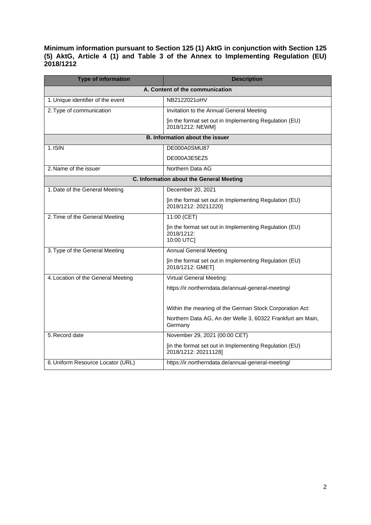**Minimum information pursuant to Section 125 (1) AktG in conjunction with Section 125 (5) AktG, Article 4 (1) and Table 3 of the Annex to Implementing Regulation (EU) 2018/1212** 

| <b>Type of information</b>               | <b>Description</b>                                                                 |
|------------------------------------------|------------------------------------------------------------------------------------|
| A. Content of the communication          |                                                                                    |
| 1. Unique identifier of the event        | NB2122021oHV                                                                       |
| 2. Type of communication                 | Invitation to the Annual General Meeting                                           |
|                                          | [in the format set out in Implementing Regulation (EU)<br>2018/1212: NEWM]         |
| <b>B. Information about the issuer</b>   |                                                                                    |
| 1.ISIN                                   | DE000A0SMU87                                                                       |
|                                          | DE000A3E5EZ5                                                                       |
| 2. Name of the issuer                    | Northern Data AG                                                                   |
| C. Information about the General Meeting |                                                                                    |
| 1. Date of the General Meeting           | December 20, 2021                                                                  |
|                                          | [in the format set out in Implementing Regulation (EU)<br>2018/1212: 20211220]     |
| 2. Time of the General Meeting           | 11:00 (CET)                                                                        |
|                                          | [in the format set out in Implementing Regulation (EU)<br>2018/1212:<br>10:00 UTC] |
| 3. Type of the General Meeting           | <b>Annual General Meeting</b>                                                      |
|                                          | [in the format set out in Implementing Regulation (EU)<br>2018/1212: GMET]         |
| 4. Location of the General Meeting       | Virtual General Meeting:                                                           |
|                                          | https://ir.northerndata.de/annual-general-meeting/                                 |
|                                          | Within the meaning of the German Stock Corporation Act:                            |
|                                          | Northern Data AG, An der Welle 3, 60322 Frankfurt am Main,<br>Germany              |
| 5. Record date                           | November 29, 2021 (00:00 CET)                                                      |
|                                          | [in the format set out in Implementing Regulation (EU)<br>2018/1212: 20211128]     |
| 6. Uniform Resource Locator (URL)        | https://ir.northerndata.de/annual-general-meeting/                                 |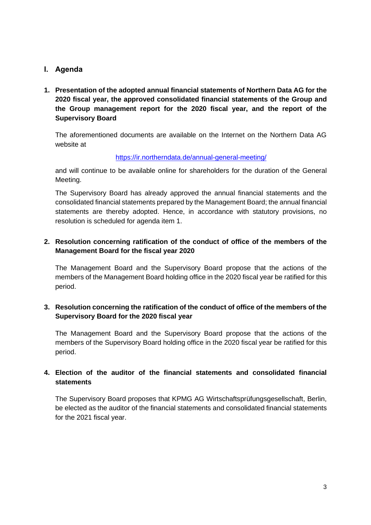## **I. Agenda**

**1. Presentation of the adopted annual financial statements of Northern Data AG for the 2020 fiscal year, the approved consolidated financial statements of the Group and the Group management report for the 2020 fiscal year, and the report of the Supervisory Board** 

The aforementioned documents are available on the Internet on the Northern Data AG website at

#### <https://ir.northerndata.de/annual-general-meeting/>

and will continue to be available online for shareholders for the duration of the General Meeting.

The Supervisory Board has already approved the annual financial statements and the consolidated financial statements prepared by the Management Board; the annual financial statements are thereby adopted. Hence, in accordance with statutory provisions, no resolution is scheduled for agenda item 1.

## **2. Resolution concerning ratification of the conduct of office of the members of the Management Board for the fiscal year 2020**

The Management Board and the Supervisory Board propose that the actions of the members of the Management Board holding office in the 2020 fiscal year be ratified for this period.

## **3. Resolution concerning the ratification of the conduct of office of the members of the Supervisory Board for the 2020 fiscal year**

The Management Board and the Supervisory Board propose that the actions of the members of the Supervisory Board holding office in the 2020 fiscal year be ratified for this period.

## **4. Election of the auditor of the financial statements and consolidated financial statements**

The Supervisory Board proposes that KPMG AG Wirtschaftsprüfungsgesellschaft, Berlin, be elected as the auditor of the financial statements and consolidated financial statements for the 2021 fiscal year.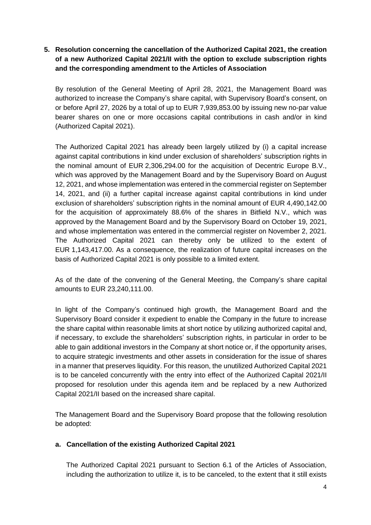# **5. Resolution concerning the cancellation of the Authorized Capital 2021, the creation of a new Authorized Capital 2021/II with the option to exclude subscription rights and the corresponding amendment to the Articles of Association**

By resolution of the General Meeting of April 28, 2021, the Management Board was authorized to increase the Company's share capital, with Supervisory Board's consent, on or before April 27, 2026 by a total of up to EUR 7,939,853.00 by issuing new no-par value bearer shares on one or more occasions capital contributions in cash and/or in kind (Authorized Capital 2021).

The Authorized Capital 2021 has already been largely utilized by (i) a capital increase against capital contributions in kind under exclusion of shareholders' subscription rights in the nominal amount of EUR 2,306,294.00 for the acquisition of Decentric Europe B.V., which was approved by the Management Board and by the Supervisory Board on August 12, 2021, and whose implementation was entered in the commercial register on September 14, 2021, and (ii) a further capital increase against capital contributions in kind under exclusion of shareholders' subscription rights in the nominal amount of EUR 4,490,142.00 for the acquisition of approximately 88.6% of the shares in Bitfield N.V., which was approved by the Management Board and by the Supervisory Board on October 19, 2021, and whose implementation was entered in the commercial register on November 2, 2021. The Authorized Capital 2021 can thereby only be utilized to the extent of EUR 1,143,417.00. As a consequence, the realization of future capital increases on the basis of Authorized Capital 2021 is only possible to a limited extent.

As of the date of the convening of the General Meeting, the Company's share capital amounts to EUR 23,240,111.00.

In light of the Company's continued high growth, the Management Board and the Supervisory Board consider it expedient to enable the Company in the future to increase the share capital within reasonable limits at short notice by utilizing authorized capital and, if necessary, to exclude the shareholders' subscription rights, in particular in order to be able to gain additional investors in the Company at short notice or, if the opportunity arises, to acquire strategic investments and other assets in consideration for the issue of shares in a manner that preserves liquidity. For this reason, the unutilized Authorized Capital 2021 is to be canceled concurrently with the entry into effect of the Authorized Capital 2021/II proposed for resolution under this agenda item and be replaced by a new Authorized Capital 2021/II based on the increased share capital.

The Management Board and the Supervisory Board propose that the following resolution be adopted:

## **a. Cancellation of the existing Authorized Capital 2021**

The Authorized Capital 2021 pursuant to Section 6.1 of the Articles of Association, including the authorization to utilize it, is to be canceled, to the extent that it still exists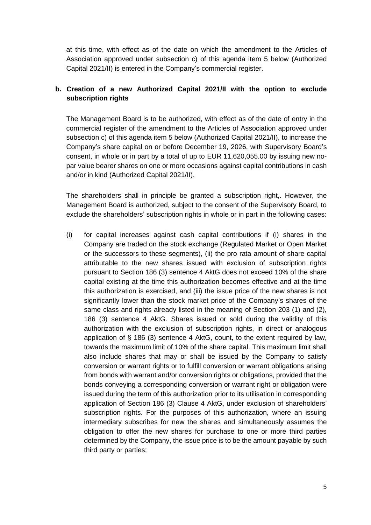at this time, with effect as of the date on which the amendment to the Articles of Association approved under subsection c) of this agenda item 5 below (Authorized Capital 2021/II) is entered in the Company's commercial register.

# **b. Creation of a new Authorized Capital 2021/II with the option to exclude subscription rights**

The Management Board is to be authorized, with effect as of the date of entry in the commercial register of the amendment to the Articles of Association approved under subsection c) of this agenda item 5 below (Authorized Capital 2021/II), to increase the Company's share capital on or before December 19, 2026, with Supervisory Board's consent, in whole or in part by a total of up to EUR 11,620,055.00 by issuing new nopar value bearer shares on one or more occasions against capital contributions in cash and/or in kind (Authorized Capital 2021/II).

The shareholders shall in principle be granted a subscription right,. However, the Management Board is authorized, subject to the consent of the Supervisory Board, to exclude the shareholders' subscription rights in whole or in part in the following cases:

(i) for capital increases against cash capital contributions if (i) shares in the Company are traded on the stock exchange (Regulated Market or Open Market or the successors to these segments), (ii) the pro rata amount of share capital attributable to the new shares issued with exclusion of subscription rights pursuant to Section 186 (3) sentence 4 AktG does not exceed 10% of the share capital existing at the time this authorization becomes effective and at the time this authorization is exercised, and (iii) the issue price of the new shares is not significantly lower than the stock market price of the Company's shares of the same class and rights already listed in the meaning of Section 203 (1) and (2), 186 (3) sentence 4 AktG. Shares issued or sold during the validity of this authorization with the exclusion of subscription rights, in direct or analogous application of § 186 (3) sentence 4 AktG, count, to the extent required by law, towards the maximum limit of 10% of the share capital. This maximum limit shall also include shares that may or shall be issued by the Company to satisfy conversion or warrant rights or to fulfill conversion or warrant obligations arising from bonds with warrant and/or conversion rights or obligations, provided that the bonds conveying a corresponding conversion or warrant right or obligation were issued during the term of this authorization prior to its utilisation in corresponding application of Section 186 (3) Clause 4 AktG, under exclusion of shareholders' subscription rights. For the purposes of this authorization, where an issuing intermediary subscribes for new the shares and simultaneously assumes the obligation to offer the new shares for purchase to one or more third parties determined by the Company, the issue price is to be the amount payable by such third party or parties;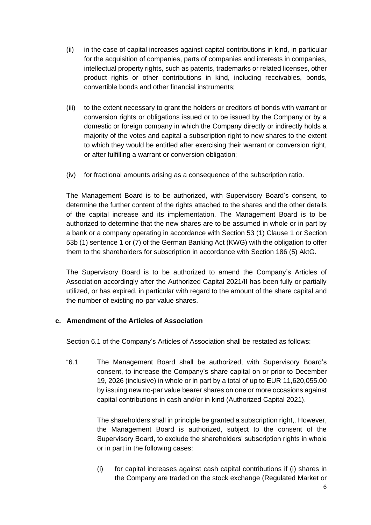- (ii) in the case of capital increases against capital contributions in kind, in particular for the acquisition of companies, parts of companies and interests in companies, intellectual property rights, such as patents, trademarks or related licenses, other product rights or other contributions in kind, including receivables, bonds, convertible bonds and other financial instruments;
- (iii) to the extent necessary to grant the holders or creditors of bonds with warrant or conversion rights or obligations issued or to be issued by the Company or by a domestic or foreign company in which the Company directly or indirectly holds a majority of the votes and capital a subscription right to new shares to the extent to which they would be entitled after exercising their warrant or conversion right, or after fulfilling a warrant or conversion obligation;
- (iv) for fractional amounts arising as a consequence of the subscription ratio.

The Management Board is to be authorized, with Supervisory Board's consent, to determine the further content of the rights attached to the shares and the other details of the capital increase and its implementation. The Management Board is to be authorized to determine that the new shares are to be assumed in whole or in part by a bank or a company operating in accordance with Section 53 (1) Clause 1 or Section 53b (1) sentence 1 or (7) of the German Banking Act (KWG) with the obligation to offer them to the shareholders for subscription in accordance with Section 186 (5) AktG.

The Supervisory Board is to be authorized to amend the Company's Articles of Association accordingly after the Authorized Capital 2021/II has been fully or partially utilized, or has expired, in particular with regard to the amount of the share capital and the number of existing no-par value shares.

## **c. Amendment of the Articles of Association**

Section 6.1 of the Company's Articles of Association shall be restated as follows:

"6.1 The Management Board shall be authorized, with Supervisory Board's consent, to increase the Company's share capital on or prior to December 19, 2026 (inclusive) in whole or in part by a total of up to EUR 11,620,055.00 by issuing new no-par value bearer shares on one or more occasions against capital contributions in cash and/or in kind (Authorized Capital 2021).

> The shareholders shall in principle be granted a subscription right,. However, the Management Board is authorized, subject to the consent of the Supervisory Board, to exclude the shareholders' subscription rights in whole or in part in the following cases:

> (i) for capital increases against cash capital contributions if (i) shares in the Company are traded on the stock exchange (Regulated Market or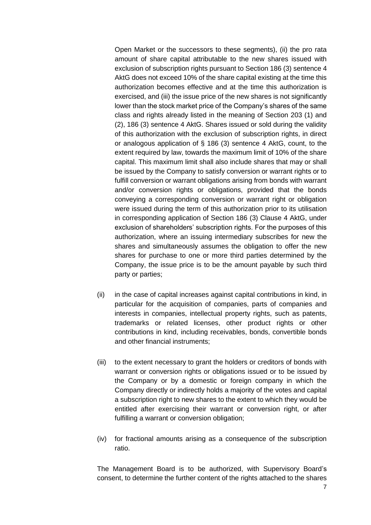Open Market or the successors to these segments), (ii) the pro rata amount of share capital attributable to the new shares issued with exclusion of subscription rights pursuant to Section 186 (3) sentence 4 AktG does not exceed 10% of the share capital existing at the time this authorization becomes effective and at the time this authorization is exercised, and (iii) the issue price of the new shares is not significantly lower than the stock market price of the Company's shares of the same class and rights already listed in the meaning of Section 203 (1) and (2), 186 (3) sentence 4 AktG. Shares issued or sold during the validity of this authorization with the exclusion of subscription rights, in direct or analogous application of § 186 (3) sentence 4 AktG, count, to the extent required by law, towards the maximum limit of 10% of the share capital. This maximum limit shall also include shares that may or shall be issued by the Company to satisfy conversion or warrant rights or to fulfill conversion or warrant obligations arising from bonds with warrant and/or conversion rights or obligations, provided that the bonds conveying a corresponding conversion or warrant right or obligation were issued during the term of this authorization prior to its utilisation in corresponding application of Section 186 (3) Clause 4 AktG, under exclusion of shareholders' subscription rights. For the purposes of this authorization, where an issuing intermediary subscribes for new the shares and simultaneously assumes the obligation to offer the new shares for purchase to one or more third parties determined by the Company, the issue price is to be the amount payable by such third party or parties;

- (ii) in the case of capital increases against capital contributions in kind, in particular for the acquisition of companies, parts of companies and interests in companies, intellectual property rights, such as patents, trademarks or related licenses, other product rights or other contributions in kind, including receivables, bonds, convertible bonds and other financial instruments;
- (iii) to the extent necessary to grant the holders or creditors of bonds with warrant or conversion rights or obligations issued or to be issued by the Company or by a domestic or foreign company in which the Company directly or indirectly holds a majority of the votes and capital a subscription right to new shares to the extent to which they would be entitled after exercising their warrant or conversion right, or after fulfilling a warrant or conversion obligation;
- (iv) for fractional amounts arising as a consequence of the subscription ratio.

The Management Board is to be authorized, with Supervisory Board's consent, to determine the further content of the rights attached to the shares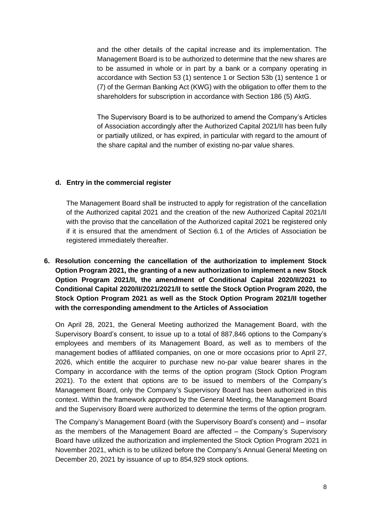and the other details of the capital increase and its implementation. The Management Board is to be authorized to determine that the new shares are to be assumed in whole or in part by a bank or a company operating in accordance with Section 53 (1) sentence 1 or Section 53b (1) sentence 1 or (7) of the German Banking Act (KWG) with the obligation to offer them to the shareholders for subscription in accordance with Section 186 (5) AktG.

The Supervisory Board is to be authorized to amend the Company's Articles of Association accordingly after the Authorized Capital 2021/II has been fully or partially utilized, or has expired, in particular with regard to the amount of the share capital and the number of existing no-par value shares.

#### **d. Entry in the commercial register**

The Management Board shall be instructed to apply for registration of the cancellation of the Authorized capital 2021 and the creation of the new Authorized Capital 2021/II with the proviso that the cancellation of the Authorized capital 2021 be registered only if it is ensured that the amendment of Section 6.1 of the Articles of Association be registered immediately thereafter.

**6. Resolution concerning the cancellation of the authorization to implement Stock Option Program 2021, the granting of a new authorization to implement a new Stock Option Program 2021/II, the amendment of Conditional Capital 2020/II/2021 to Conditional Capital 2020/II/2021/2021/II to settle the Stock Option Program 2020, the Stock Option Program 2021 as well as the Stock Option Program 2021/II together with the corresponding amendment to the Articles of Association**

On April 28, 2021, the General Meeting authorized the Management Board, with the Supervisory Board's consent, to issue up to a total of 887,846 options to the Company's employees and members of its Management Board, as well as to members of the management bodies of affiliated companies, on one or more occasions prior to April 27, 2026, which entitle the acquirer to purchase new no-par value bearer shares in the Company in accordance with the terms of the option program (Stock Option Program 2021). To the extent that options are to be issued to members of the Company's Management Board, only the Company's Supervisory Board has been authorized in this context. Within the framework approved by the General Meeting, the Management Board and the Supervisory Board were authorized to determine the terms of the option program.

The Company's Management Board (with the Supervisory Board's consent) and – insofar as the members of the Management Board are affected – the Company's Supervisory Board have utilized the authorization and implemented the Stock Option Program 2021 in November 2021, which is to be utilized before the Company's Annual General Meeting on December 20, 2021 by issuance of up to 854,929 stock options.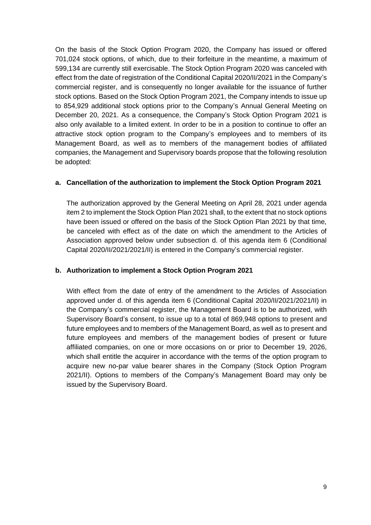On the basis of the Stock Option Program 2020, the Company has issued or offered 701,024 stock options, of which, due to their forfeiture in the meantime, a maximum of 599,134 are currently still exercisable. The Stock Option Program 2020 was canceled with effect from the date of registration of the Conditional Capital 2020/II/2021 in the Company's commercial register, and is consequently no longer available for the issuance of further stock options. Based on the Stock Option Program 2021, the Company intends to issue up to 854,929 additional stock options prior to the Company's Annual General Meeting on December 20, 2021. As a consequence, the Company's Stock Option Program 2021 is also only available to a limited extent. In order to be in a position to continue to offer an attractive stock option program to the Company's employees and to members of its Management Board, as well as to members of the management bodies of affiliated companies, the Management and Supervisory boards propose that the following resolution be adopted:

#### **a. Cancellation of the authorization to implement the Stock Option Program 2021**

The authorization approved by the General Meeting on April 28, 2021 under agenda item 2 to implement the Stock Option Plan 2021 shall, to the extent that no stock options have been issued or offered on the basis of the Stock Option Plan 2021 by that time, be canceled with effect as of the date on which the amendment to the Articles of Association approved below under subsection d. of this agenda item 6 (Conditional Capital 2020/II/2021/2021/II) is entered in the Company's commercial register.

#### **b. Authorization to implement a Stock Option Program 2021**

With effect from the date of entry of the amendment to the Articles of Association approved under d. of this agenda item 6 (Conditional Capital 2020/II/2021/2021/II) in the Company's commercial register, the Management Board is to be authorized, with Supervisory Board's consent, to issue up to a total of 869,948 options to present and future employees and to members of the Management Board, as well as to present and future employees and members of the management bodies of present or future affiliated companies, on one or more occasions on or prior to December 19, 2026, which shall entitle the acquirer in accordance with the terms of the option program to acquire new no-par value bearer shares in the Company (Stock Option Program 2021/II). Options to members of the Company's Management Board may only be issued by the Supervisory Board.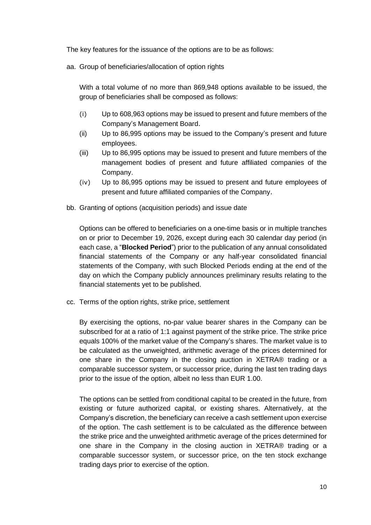The key features for the issuance of the options are to be as follows:

aa. Group of beneficiaries/allocation of option rights

With a total volume of no more than 869,948 options available to be issued, the group of beneficiaries shall be composed as follows:

- (i) Up to 608,963 options may be issued to present and future members of the Company's Management Board.
- (ii) Up to 86,995 options may be issued to the Company's present and future employees.
- (iii) Up to 86,995 options may be issued to present and future members of the management bodies of present and future affiliated companies of the Company.
- (iv) Up to 86,995 options may be issued to present and future employees of present and future affiliated companies of the Company.
- bb. Granting of options (acquisition periods) and issue date

Options can be offered to beneficiaries on a one-time basis or in multiple tranches on or prior to December 19, 2026, except during each 30 calendar day period (in each case, a "**Blocked Period**") prior to the publication of any annual consolidated financial statements of the Company or any half-year consolidated financial statements of the Company, with such Blocked Periods ending at the end of the day on which the Company publicly announces preliminary results relating to the financial statements yet to be published.

cc. Terms of the option rights, strike price, settlement

By exercising the options, no-par value bearer shares in the Company can be subscribed for at a ratio of 1:1 against payment of the strike price. The strike price equals 100% of the market value of the Company's shares. The market value is to be calculated as the unweighted, arithmetic average of the prices determined for one share in the Company in the closing auction in XETRA® trading or a comparable successor system, or successor price, during the last ten trading days prior to the issue of the option, albeit no less than EUR 1.00.

The options can be settled from conditional capital to be created in the future, from existing or future authorized capital, or existing shares. Alternatively, at the Company's discretion, the beneficiary can receive a cash settlement upon exercise of the option. The cash settlement is to be calculated as the difference between the strike price and the unweighted arithmetic average of the prices determined for one share in the Company in the closing auction in XETRA® trading or a comparable successor system, or successor price, on the ten stock exchange trading days prior to exercise of the option.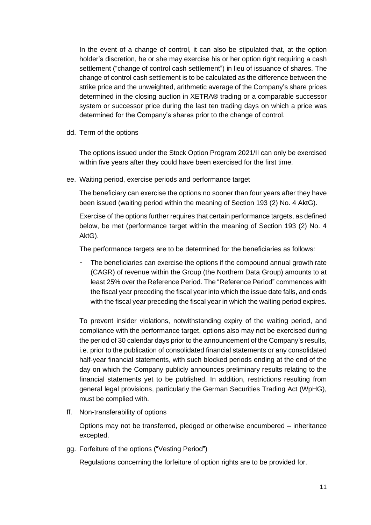In the event of a change of control, it can also be stipulated that, at the option holder's discretion, he or she may exercise his or her option right requiring a cash settlement ("change of control cash settlement") in lieu of issuance of shares. The change of control cash settlement is to be calculated as the difference between the strike price and the unweighted, arithmetic average of the Company's share prices determined in the closing auction in XETRA® trading or a comparable successor system or successor price during the last ten trading days on which a price was determined for the Company's shares prior to the change of control.

dd. Term of the options

The options issued under the Stock Option Program 2021/II can only be exercised within five years after they could have been exercised for the first time.

ee. Waiting period, exercise periods and performance target

The beneficiary can exercise the options no sooner than four years after they have been issued (waiting period within the meaning of Section 193 (2) No. 4 AktG).

Exercise of the options further requires that certain performance targets, as defined below, be met (performance target within the meaning of Section 193 (2) No. 4 AktG).

The performance targets are to be determined for the beneficiaries as follows:

The beneficiaries can exercise the options if the compound annual growth rate (CAGR) of revenue within the Group (the Northern Data Group) amounts to at least 25% over the Reference Period. The "Reference Period" commences with the fiscal year preceding the fiscal year into which the issue date falls, and ends with the fiscal year preceding the fiscal year in which the waiting period expires.

To prevent insider violations, notwithstanding expiry of the waiting period, and compliance with the performance target, options also may not be exercised during the period of 30 calendar days prior to the announcement of the Company's results, i.e. prior to the publication of consolidated financial statements or any consolidated half-year financial statements, with such blocked periods ending at the end of the day on which the Company publicly announces preliminary results relating to the financial statements yet to be published. In addition, restrictions resulting from general legal provisions, particularly the German Securities Trading Act (WpHG), must be complied with.

ff. Non-transferability of options

Options may not be transferred, pledged or otherwise encumbered – inheritance excepted.

gg. Forfeiture of the options ("Vesting Period")

Regulations concerning the forfeiture of option rights are to be provided for.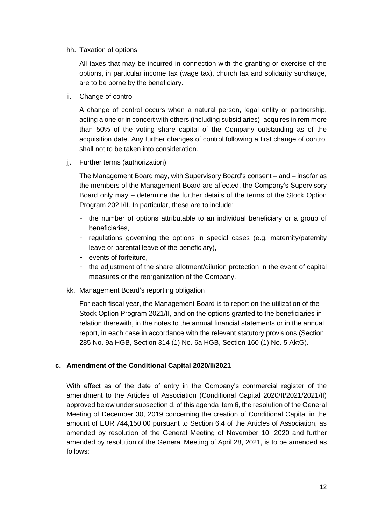hh. Taxation of options

All taxes that may be incurred in connection with the granting or exercise of the options, in particular income tax (wage tax), church tax and solidarity surcharge, are to be borne by the beneficiary.

ii. Change of control

A change of control occurs when a natural person, legal entity or partnership, acting alone or in concert with others (including subsidiaries), acquires in rem more than 50% of the voting share capital of the Company outstanding as of the acquisition date. Any further changes of control following a first change of control shall not to be taken into consideration.

jj. Further terms (authorization)

The Management Board may, with Supervisory Board's consent – and – insofar as the members of the Management Board are affected, the Company's Supervisory Board only may – determine the further details of the terms of the Stock Option Program 2021/II. In particular, these are to include:

- the number of options attributable to an individual beneficiary or a group of beneficiaries,
- regulations governing the options in special cases (e.g. maternity/paternity leave or parental leave of the beneficiary),
- events of forfeiture,
- the adjustment of the share allotment/dilution protection in the event of capital measures or the reorganization of the Company.
- kk. Management Board's reporting obligation

For each fiscal year, the Management Board is to report on the utilization of the Stock Option Program 2021/II, and on the options granted to the beneficiaries in relation therewith, in the notes to the annual financial statements or in the annual report, in each case in accordance with the relevant statutory provisions (Section 285 No. 9a HGB, Section 314 (1) No. 6a HGB, Section 160 (1) No. 5 AktG).

## **c. Amendment of the Conditional Capital 2020/II/2021**

With effect as of the date of entry in the Company's commercial register of the amendment to the Articles of Association (Conditional Capital 2020/II/2021/2021/II) approved below under subsection d. of this agenda item 6, the resolution of the General Meeting of December 30, 2019 concerning the creation of Conditional Capital in the amount of EUR 744,150.00 pursuant to Section 6.4 of the Articles of Association, as amended by resolution of the General Meeting of November 10, 2020 and further amended by resolution of the General Meeting of April 28, 2021, is to be amended as follows: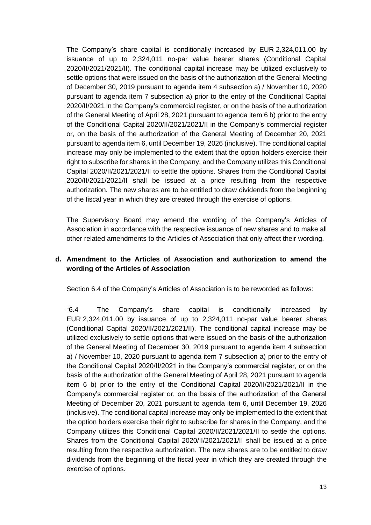The Company's share capital is conditionally increased by EUR 2,324,011.00 by issuance of up to 2,324,011 no-par value bearer shares (Conditional Capital 2020/II/2021/2021/II). The conditional capital increase may be utilized exclusively to settle options that were issued on the basis of the authorization of the General Meeting of December 30, 2019 pursuant to agenda item 4 subsection a) / November 10, 2020 pursuant to agenda item 7 subsection a) prior to the entry of the Conditional Capital 2020/II/2021 in the Company's commercial register, or on the basis of the authorization of the General Meeting of April 28, 2021 pursuant to agenda item 6 b) prior to the entry of the Conditional Capital 2020/II/2021/2021/II in the Company's commercial register or, on the basis of the authorization of the General Meeting of December 20, 2021 pursuant to agenda item 6, until December 19, 2026 (inclusive). The conditional capital increase may only be implemented to the extent that the option holders exercise their right to subscribe for shares in the Company, and the Company utilizes this Conditional Capital 2020/II/2021/2021/II to settle the options. Shares from the Conditional Capital 2020/II/2021/2021/II shall be issued at a price resulting from the respective authorization. The new shares are to be entitled to draw dividends from the beginning of the fiscal year in which they are created through the exercise of options.

The Supervisory Board may amend the wording of the Company's Articles of Association in accordance with the respective issuance of new shares and to make all other related amendments to the Articles of Association that only affect their wording.

## **d. Amendment to the Articles of Association and authorization to amend the wording of the Articles of Association**

Section 6.4 of the Company's Articles of Association is to be reworded as follows:

"6.4 The Company's share capital is conditionally increased by EUR 2,324,011.00 by issuance of up to 2,324,011 no-par value bearer shares (Conditional Capital 2020/II/2021/2021/II). The conditional capital increase may be utilized exclusively to settle options that were issued on the basis of the authorization of the General Meeting of December 30, 2019 pursuant to agenda item 4 subsection a) / November 10, 2020 pursuant to agenda item 7 subsection a) prior to the entry of the Conditional Capital 2020/II/2021 in the Company's commercial register, or on the basis of the authorization of the General Meeting of April 28, 2021 pursuant to agenda item 6 b) prior to the entry of the Conditional Capital 2020/II/2021/2021/II in the Company's commercial register or, on the basis of the authorization of the General Meeting of December 20, 2021 pursuant to agenda item 6, until December 19, 2026 (inclusive). The conditional capital increase may only be implemented to the extent that the option holders exercise their right to subscribe for shares in the Company, and the Company utilizes this Conditional Capital 2020/II/2021/2021/II to settle the options. Shares from the Conditional Capital 2020/II/2021/2021/II shall be issued at a price resulting from the respective authorization. The new shares are to be entitled to draw dividends from the beginning of the fiscal year in which they are created through the exercise of options.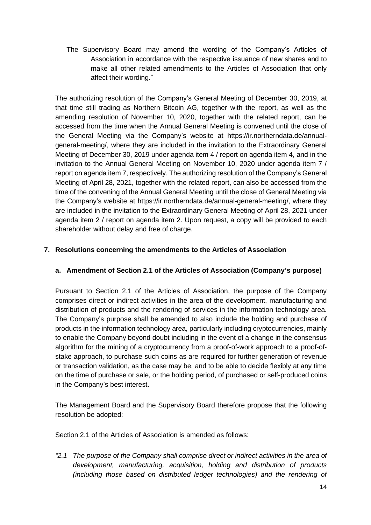The Supervisory Board may amend the wording of the Company's Articles of Association in accordance with the respective issuance of new shares and to make all other related amendments to the Articles of Association that only affect their wording."

The authorizing resolution of the Company's General Meeting of December 30, 2019, at that time still trading as Northern Bitcoin AG, together with the report, as well as the amending resolution of November 10, 2020, together with the related report, can be accessed from the time when the Annual General Meeting is convened until the close of the General Meeting via the Company's website at https://ir.northerndata.de/annualgeneral-meeting/, where they are included in the invitation to the Extraordinary General Meeting of December 30, 2019 under agenda item 4 / report on agenda item 4, and in the invitation to the Annual General Meeting on November 10, 2020 under agenda item 7 / report on agenda item 7, respectively. The authorizing resolution of the Company's General Meeting of April 28, 2021, together with the related report, can also be accessed from the time of the convening of the Annual General Meeting until the close of General Meeting via the Company's website at https://ir.northerndata.de/annual-general-meeting/, where they are included in the invitation to the Extraordinary General Meeting of April 28, 2021 under agenda item 2 / report on agenda item 2. Upon request, a copy will be provided to each shareholder without delay and free of charge.

## **7. Resolutions concerning the amendments to the Articles of Association**

## **a. Amendment of Section 2.1 of the Articles of Association (Company's purpose)**

Pursuant to Section 2.1 of the Articles of Association, the purpose of the Company comprises direct or indirect activities in the area of the development, manufacturing and distribution of products and the rendering of services in the information technology area. The Company's purpose shall be amended to also include the holding and purchase of products in the information technology area, particularly including cryptocurrencies, mainly to enable the Company beyond doubt including in the event of a change in the consensus algorithm for the mining of a cryptocurrency from a proof-of-work approach to a proof-ofstake approach, to purchase such coins as are required for further generation of revenue or transaction validation, as the case may be, and to be able to decide flexibly at any time on the time of purchase or sale, or the holding period, of purchased or self-produced coins in the Company's best interest.

The Management Board and the Supervisory Board therefore propose that the following resolution be adopted:

Section 2.1 of the Articles of Association is amended as follows:

*"2.1 The purpose of the Company shall comprise direct or indirect activities in the area of development, manufacturing, acquisition, holding and distribution of products (including those based on distributed ledger technologies) and the rendering of*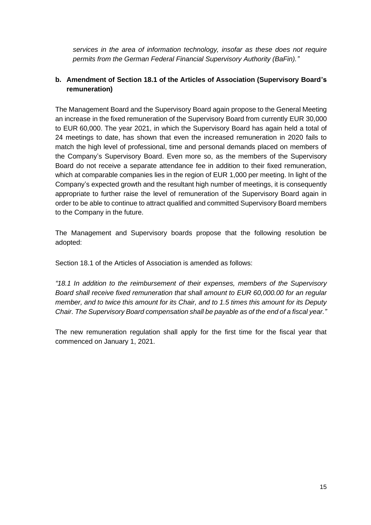*services in the area of information technology, insofar as these does not require permits from the German Federal Financial Supervisory Authority (BaFin)."*

## **b. Amendment of Section 18.1 of the Articles of Association (Supervisory Board's remuneration)**

The Management Board and the Supervisory Board again propose to the General Meeting an increase in the fixed remuneration of the Supervisory Board from currently EUR 30,000 to EUR 60,000. The year 2021, in which the Supervisory Board has again held a total of 24 meetings to date, has shown that even the increased remuneration in 2020 fails to match the high level of professional, time and personal demands placed on members of the Company's Supervisory Board. Even more so, as the members of the Supervisory Board do not receive a separate attendance fee in addition to their fixed remuneration, which at comparable companies lies in the region of EUR 1,000 per meeting. In light of the Company's expected growth and the resultant high number of meetings, it is consequently appropriate to further raise the level of remuneration of the Supervisory Board again in order to be able to continue to attract qualified and committed Supervisory Board members to the Company in the future.

The Management and Supervisory boards propose that the following resolution be adopted:

Section 18.1 of the Articles of Association is amended as follows:

*"18.1 In addition to the reimbursement of their expenses, members of the Supervisory Board shall receive fixed remuneration that shall amount to EUR 60,000.00 for an regular member, and to twice this amount for its Chair, and to 1.5 times this amount for its Deputy Chair. The Supervisory Board compensation shall be payable as of the end of a fiscal year."*

The new remuneration regulation shall apply for the first time for the fiscal year that commenced on January 1, 2021.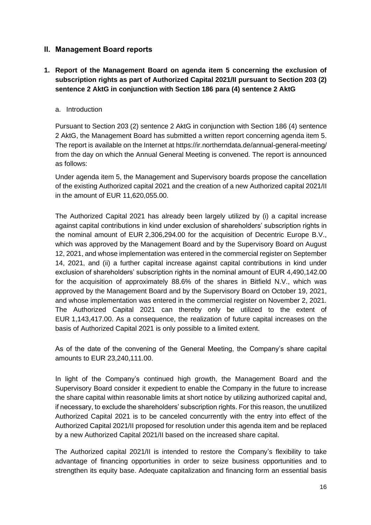## **II. Management Board reports**

# **1. Report of the Management Board on agenda item 5 concerning the exclusion of subscription rights as part of Authorized Capital 2021/II pursuant to Section 203 (2) sentence 2 AktG in conjunction with Section 186 para (4) sentence 2 AktG**

#### a. Introduction

Pursuant to Section 203 (2) sentence 2 AktG in conjunction with Section 186 (4) sentence 2 AktG, the Management Board has submitted a written report concerning agenda item 5. The report is available on the Internet at https://ir.northerndata.de/annual-general-meeting/ from the day on which the Annual General Meeting is convened. The report is announced as follows:

Under agenda item 5, the Management and Supervisory boards propose the cancellation of the existing Authorized capital 2021 and the creation of a new Authorized capital 2021/II in the amount of EUR 11,620,055.00.

The Authorized Capital 2021 has already been largely utilized by (i) a capital increase against capital contributions in kind under exclusion of shareholders' subscription rights in the nominal amount of EUR 2,306,294.00 for the acquisition of Decentric Europe B.V., which was approved by the Management Board and by the Supervisory Board on August 12, 2021, and whose implementation was entered in the commercial register on September 14, 2021, and (ii) a further capital increase against capital contributions in kind under exclusion of shareholders' subscription rights in the nominal amount of EUR 4,490,142.00 for the acquisition of approximately 88.6% of the shares in Bitfield N.V., which was approved by the Management Board and by the Supervisory Board on October 19, 2021, and whose implementation was entered in the commercial register on November 2, 2021. The Authorized Capital 2021 can thereby only be utilized to the extent of EUR 1,143,417.00. As a consequence, the realization of future capital increases on the basis of Authorized Capital 2021 is only possible to a limited extent.

As of the date of the convening of the General Meeting, the Company's share capital amounts to EUR 23,240,111.00.

In light of the Company's continued high growth, the Management Board and the Supervisory Board consider it expedient to enable the Company in the future to increase the share capital within reasonable limits at short notice by utilizing authorized capital and, if necessary, to exclude the shareholders' subscription rights. For this reason, the unutilized Authorized Capital 2021 is to be canceled concurrently with the entry into effect of the Authorized Capital 2021/II proposed for resolution under this agenda item and be replaced by a new Authorized Capital 2021/II based on the increased share capital.

The Authorized capital 2021/II is intended to restore the Company's flexibility to take advantage of financing opportunities in order to seize business opportunities and to strengthen its equity base. Adequate capitalization and financing form an essential basis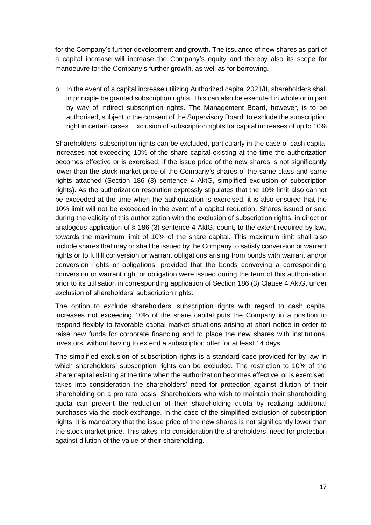for the Company's further development and growth. The issuance of new shares as part of a capital increase will increase the Company's equity and thereby also its scope for manoeuvre for the Company's further growth, as well as for borrowing.

b. In the event of a capital increase utilizing Authorized capital 2021/II, shareholders shall in principle be granted subscription rights. This can also be executed in whole or in part by way of indirect subscription rights. The Management Board, however, is to be authorized, subject to the consent of the Supervisory Board, to exclude the subscription right in certain cases. Exclusion of subscription rights for capital increases of up to 10%

Shareholders' subscription rights can be excluded, particularly in the case of cash capital increases not exceeding 10% of the share capital existing at the time the authorization becomes effective or is exercised, if the issue price of the new shares is not significantly lower than the stock market price of the Company's shares of the same class and same rights attached (Section 186 (3) sentence 4 AktG, simplified exclusion of subscription rights). As the authorization resolution expressly stipulates that the 10% limit also cannot be exceeded at the time when the authorization is exercised, it is also ensured that the 10% limit will not be exceeded in the event of a capital reduction. Shares issued or sold during the validity of this authorization with the exclusion of subscription rights, in direct or analogous application of § 186 (3) sentence 4 AktG, count, to the extent required by law, towards the maximum limit of 10% of the share capital. This maximum limit shall also include shares that may or shall be issued by the Company to satisfy conversion or warrant rights or to fulfill conversion or warrant obligations arising from bonds with warrant and/or conversion rights or obligations, provided that the bonds conveying a corresponding conversion or warrant right or obligation were issued during the term of this authorization prior to its utilisation in corresponding application of Section 186 (3) Clause 4 AktG, under exclusion of shareholders' subscription rights.

The option to exclude shareholders' subscription rights with regard to cash capital increases not exceeding 10% of the share capital puts the Company in a position to respond flexibly to favorable capital market situations arising at short notice in order to raise new funds for corporate financing and to place the new shares with institutional investors, without having to extend a subscription offer for at least 14 days.

The simplified exclusion of subscription rights is a standard case provided for by law in which shareholders' subscription rights can be excluded. The restriction to 10% of the share capital existing at the time when the authorization becomes effective, or is exercised, takes into consideration the shareholders' need for protection against dilution of their shareholding on a pro rata basis. Shareholders who wish to maintain their shareholding quota can prevent the reduction of their shareholding quota by realizing additional purchases via the stock exchange. In the case of the simplified exclusion of subscription rights, it is mandatory that the issue price of the new shares is not significantly lower than the stock market price. This takes into consideration the shareholders' need for protection against dilution of the value of their shareholding.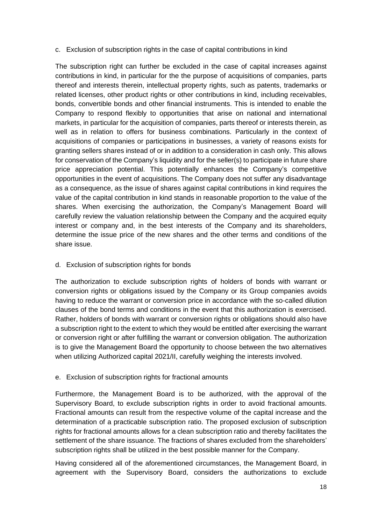#### c. Exclusion of subscription rights in the case of capital contributions in kind

The subscription right can further be excluded in the case of capital increases against contributions in kind, in particular for the the purpose of acquisitions of companies, parts thereof and interests therein, intellectual property rights, such as patents, trademarks or related licenses, other product rights or other contributions in kind, including receivables, bonds, convertible bonds and other financial instruments. This is intended to enable the Company to respond flexibly to opportunities that arise on national and international markets, in particular for the acquisition of companies, parts thereof or interests therein, as well as in relation to offers for business combinations. Particularly in the context of acquisitions of companies or participations in businesses, a variety of reasons exists for granting sellers shares instead of or in addition to a consideration in cash only. This allows for conservation of the Company's liquidity and for the seller(s) to participate in future share price appreciation potential. This potentially enhances the Company's competitive opportunities in the event of acquisitions. The Company does not suffer any disadvantage as a consequence, as the issue of shares against capital contributions in kind requires the value of the capital contribution in kind stands in reasonable proportion to the value of the shares. When exercising the authorization, the Company's Management Board will carefully review the valuation relationship between the Company and the acquired equity interest or company and, in the best interests of the Company and its shareholders, determine the issue price of the new shares and the other terms and conditions of the share issue.

#### d. Exclusion of subscription rights for bonds

The authorization to exclude subscription rights of holders of bonds with warrant or conversion rights or obligations issued by the Company or its Group companies avoids having to reduce the warrant or conversion price in accordance with the so-called dilution clauses of the bond terms and conditions in the event that this authorization is exercised. Rather, holders of bonds with warrant or conversion rights or obligations should also have a subscription right to the extent to which they would be entitled after exercising the warrant or conversion right or after fulfilling the warrant or conversion obligation. The authorization is to give the Management Board the opportunity to choose between the two alternatives when utilizing Authorized capital 2021/II, carefully weighing the interests involved.

## e. Exclusion of subscription rights for fractional amounts

Furthermore, the Management Board is to be authorized, with the approval of the Supervisory Board, to exclude subscription rights in order to avoid fractional amounts. Fractional amounts can result from the respective volume of the capital increase and the determination of a practicable subscription ratio. The proposed exclusion of subscription rights for fractional amounts allows for a clean subscription ratio and thereby facilitates the settlement of the share issuance. The fractions of shares excluded from the shareholders' subscription rights shall be utilized in the best possible manner for the Company.

Having considered all of the aforementioned circumstances, the Management Board, in agreement with the Supervisory Board, considers the authorizations to exclude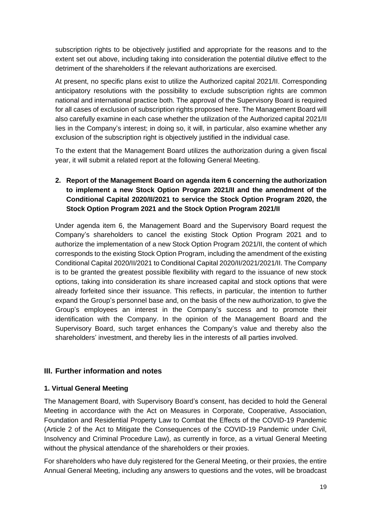subscription rights to be objectively justified and appropriate for the reasons and to the extent set out above, including taking into consideration the potential dilutive effect to the detriment of the shareholders if the relevant authorizations are exercised.

At present, no specific plans exist to utilize the Authorized capital 2021/II. Corresponding anticipatory resolutions with the possibility to exclude subscription rights are common national and international practice both. The approval of the Supervisory Board is required for all cases of exclusion of subscription rights proposed here. The Management Board will also carefully examine in each case whether the utilization of the Authorized capital 2021/II lies in the Company's interest; in doing so, it will, in particular, also examine whether any exclusion of the subscription right is objectively justified in the individual case.

To the extent that the Management Board utilizes the authorization during a given fiscal year, it will submit a related report at the following General Meeting.

**2. Report of the Management Board on agenda item 6 concerning the authorization to implement a new Stock Option Program 2021/II and the amendment of the Conditional Capital 2020/II/2021 to service the Stock Option Program 2020, the Stock Option Program 2021 and the Stock Option Program 2021/II** 

Under agenda item 6, the Management Board and the Supervisory Board request the Company's shareholders to cancel the existing Stock Option Program 2021 and to authorize the implementation of a new Stock Option Program 2021/II, the content of which corresponds to the existing Stock Option Program, including the amendment of the existing Conditional Capital 2020/II/2021 to Conditional Capital 2020/II/2021/2021/II. The Company is to be granted the greatest possible flexibility with regard to the issuance of new stock options, taking into consideration its share increased capital and stock options that were already forfeited since their issuance. This reflects, in particular, the intention to further expand the Group's personnel base and, on the basis of the new authorization, to give the Group's employees an interest in the Company's success and to promote their identification with the Company. In the opinion of the Management Board and the Supervisory Board, such target enhances the Company's value and thereby also the shareholders' investment, and thereby lies in the interests of all parties involved.

## **III. Further information and notes**

## **1. Virtual General Meeting**

The Management Board, with Supervisory Board's consent, has decided to hold the General Meeting in accordance with the Act on Measures in Corporate, Cooperative, Association, Foundation and Residential Property Law to Combat the Effects of the COVID-19 Pandemic (Article 2 of the Act to Mitigate the Consequences of the COVID-19 Pandemic under Civil, Insolvency and Criminal Procedure Law), as currently in force, as a virtual General Meeting without the physical attendance of the shareholders or their proxies.

For shareholders who have duly registered for the General Meeting, or their proxies, the entire Annual General Meeting, including any answers to questions and the votes, will be broadcast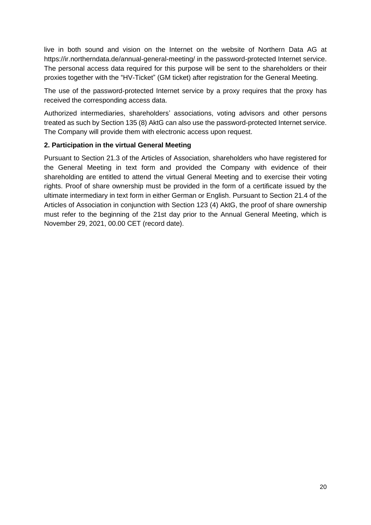live in both sound and vision on the Internet on the website of Northern Data AG at https://ir.northerndata.de/annual-general-meeting/ in the password-protected Internet service. The personal access data required for this purpose will be sent to the shareholders or their proxies together with the "HV-Ticket" (GM ticket) after registration for the General Meeting.

The use of the password-protected Internet service by a proxy requires that the proxy has received the corresponding access data.

Authorized intermediaries, shareholders' associations, voting advisors and other persons treated as such by Section 135 (8) AktG can also use the password-protected Internet service. The Company will provide them with electronic access upon request.

#### **2. Participation in the virtual General Meeting**

Pursuant to Section 21.3 of the Articles of Association, shareholders who have registered for the General Meeting in text form and provided the Company with evidence of their shareholding are entitled to attend the virtual General Meeting and to exercise their voting rights. Proof of share ownership must be provided in the form of a certificate issued by the ultimate intermediary in text form in either German or English. Pursuant to Section 21.4 of the Articles of Association in conjunction with Section 123 (4) AktG, the proof of share ownership must refer to the beginning of the 21st day prior to the Annual General Meeting, which is November 29, 2021, 00.00 CET (record date).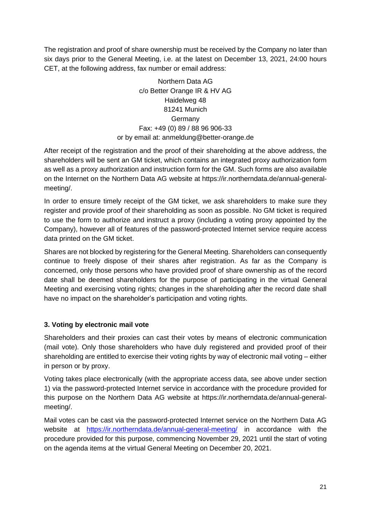The registration and proof of share ownership must be received by the Company no later than six days prior to the General Meeting, i.e. at the latest on December 13, 2021, 24:00 hours CET, at the following address, fax number or email address:

> Northern Data AG c/o Better Orange IR & HV AG Haidelweg 48 81241 Munich Germany Fax: +49 (0) 89 / 88 96 906-33 or by email at: [anmeldung@better-orange.de](mailto:anmeldung@better-orange.de)

After receipt of the registration and the proof of their shareholding at the above address, the shareholders will be sent an GM ticket, which contains an integrated proxy authorization form as well as a proxy authorization and instruction form for the GM. Such forms are also available on the Internet on the Northern Data AG website at https://ir.northerndata.de/annual-generalmeeting/.

In order to ensure timely receipt of the GM ticket, we ask shareholders to make sure they register and provide proof of their shareholding as soon as possible. No GM ticket is required to use the form to authorize and instruct a proxy (including a voting proxy appointed by the Company), however all of features of the password-protected Internet service require access data printed on the GM ticket.

Shares are not blocked by registering for the General Meeting. Shareholders can consequently continue to freely dispose of their shares after registration. As far as the Company is concerned, only those persons who have provided proof of share ownership as of the record date shall be deemed shareholders for the purpose of participating in the virtual General Meeting and exercising voting rights; changes in the shareholding after the record date shall have no impact on the shareholder's participation and voting rights.

# **3. Voting by electronic mail vote**

Shareholders and their proxies can cast their votes by means of electronic communication (mail vote). Only those shareholders who have duly registered and provided proof of their shareholding are entitled to exercise their voting rights by way of electronic mail voting – either in person or by proxy.

Voting takes place electronically (with the appropriate access data, see above under section 1) via the password-protected Internet service in accordance with the procedure provided for this purpose on the Northern Data AG website at https://ir.northerndata.de/annual-generalmeeting/.

Mail votes can be cast via the password-protected Internet service on the Northern Data AG website at <https://ir.northerndata.de/annual-general-meeting/> in accordance with the procedure provided for this purpose, commencing November 29, 2021 until the start of voting on the agenda items at the virtual General Meeting on December 20, 2021.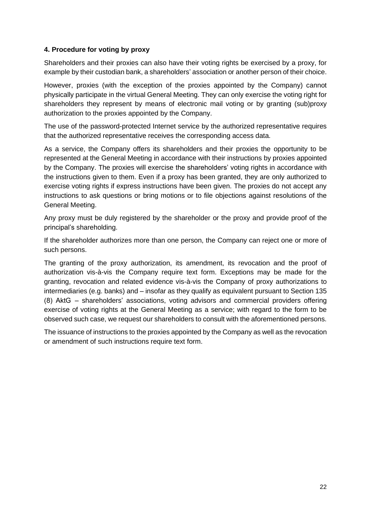#### **4. Procedure for voting by proxy**

Shareholders and their proxies can also have their voting rights be exercised by a proxy, for example by their custodian bank, a shareholders' association or another person of their choice.

However, proxies (with the exception of the proxies appointed by the Company) cannot physically participate in the virtual General Meeting. They can only exercise the voting right for shareholders they represent by means of electronic mail voting or by granting (sub)proxy authorization to the proxies appointed by the Company.

The use of the password-protected Internet service by the authorized representative requires that the authorized representative receives the corresponding access data.

As a service, the Company offers its shareholders and their proxies the opportunity to be represented at the General Meeting in accordance with their instructions by proxies appointed by the Company. The proxies will exercise the shareholders' voting rights in accordance with the instructions given to them. Even if a proxy has been granted, they are only authorized to exercise voting rights if express instructions have been given. The proxies do not accept any instructions to ask questions or bring motions or to file objections against resolutions of the General Meeting.

Any proxy must be duly registered by the shareholder or the proxy and provide proof of the principal's shareholding.

If the shareholder authorizes more than one person, the Company can reject one or more of such persons.

The granting of the proxy authorization, its amendment, its revocation and the proof of authorization vis-à-vis the Company require text form. Exceptions may be made for the granting, revocation and related evidence vis-à-vis the Company of proxy authorizations to intermediaries (e.g. banks) and – insofar as they qualify as equivalent pursuant to Section 135 (8) AktG  – shareholders' associations, voting advisors and commercial providers offering exercise of voting rights at the General Meeting as a service; with regard to the form to be observed such case, we request our shareholders to consult with the aforementioned persons.

The issuance of instructions to the proxies appointed by the Company as well as the revocation or amendment of such instructions require text form.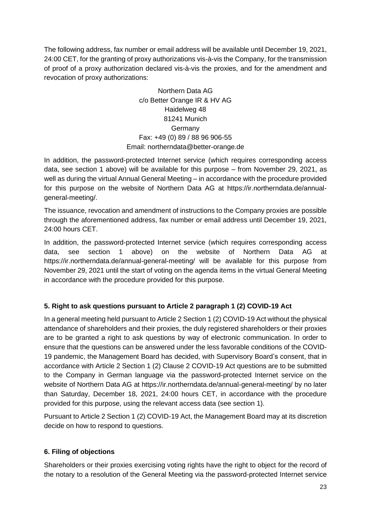The following address, fax number or email address will be available until December 19, 2021, 24:00 CET, for the granting of proxy authorizations vis-à-vis the Company, for the transmission of proof of a proxy authorization declared vis-à-vis the proxies, and for the amendment and revocation of proxy authorizations:

> Northern Data AG c/o Better Orange IR & HV AG Haidelweg 48 81241 Munich Germany Fax: +49 (0) 89 / 88 96 906-55 Email: northerndat[a@better-orange.de](mailto:anmeldung@better-orange.de)

In addition, the password-protected Internet service (which requires corresponding access data, see section 1 above) will be available for this purpose – from November 29, 2021, as well as during the virtual Annual General Meeting – in accordance with the procedure provided for this purpose on the website of Northern Data AG at https://ir.northerndata.de/annualgeneral-meeting/.

The issuance, revocation and amendment of instructions to the Company proxies are possible through the aforementioned address, fax number or email address until December 19, 2021, 24:00 hours CET.

In addition, the password-protected Internet service (which requires corresponding access data, see section 1 above) on the website of Northern Data AG at https://ir.northerndata.de/annual-general-meeting/ will be available for this purpose from November 29, 2021 until the start of voting on the agenda items in the virtual General Meeting in accordance with the procedure provided for this purpose.

# **5. Right to ask questions pursuant to Article 2 paragraph 1 (2) COVID-19 Act**

In a general meeting held pursuant to Article 2 Section 1 (2) COVID-19 Act without the physical attendance of shareholders and their proxies, the duly registered shareholders or their proxies are to be granted a right to ask questions by way of electronic communication. In order to ensure that the questions can be answered under the less favorable conditions of the COVID-19 pandemic, the Management Board has decided, with Supervisory Board's consent, that in accordance with Article 2 Section 1 (2) Clause 2 COVID-19 Act questions are to be submitted to the Company in German language via the password-protected Internet service on the website of Northern Data AG at https://ir.northerndata.de/annual-general-meeting/ by no later than Saturday, December 18, 2021, 24:00 hours CET, in accordance with the procedure provided for this purpose, using the relevant access data (see section 1).

Pursuant to Article 2 Section 1 (2) COVID-19 Act, the Management Board may at its discretion decide on how to respond to questions.

# **6. Filing of objections**

Shareholders or their proxies exercising voting rights have the right to object for the record of the notary to a resolution of the General Meeting via the password-protected Internet service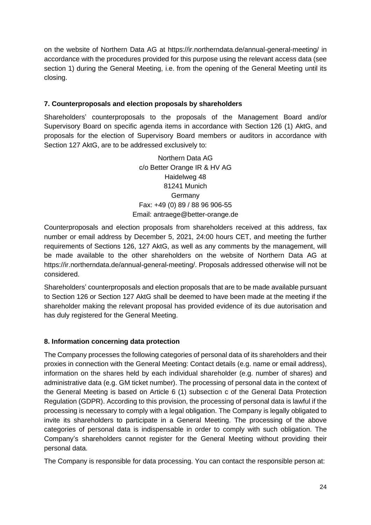on the website of Northern Data AG at https://ir.northerndata.de/annual-general-meeting/ in accordance with the procedures provided for this purpose using the relevant access data (see section 1) during the General Meeting, i.e. from the opening of the General Meeting until its closing.

## **7. Counterproposals and election proposals by shareholders**

Shareholders' counterproposals to the proposals of the Management Board and/or Supervisory Board on specific agenda items in accordance with Section 126 (1) AktG, and proposals for the election of Supervisory Board members or auditors in accordance with Section 127 AktG, are to be addressed exclusively to:

> Northern Data AG c/o Better Orange IR & HV AG Haidelweg 48 81241 Munich Germany Fax: +49 (0) 89 / 88 96 906-55 Email: antraege@better-orange.de

Counterproposals and election proposals from shareholders received at this address, fax number or email address by December 5, 2021, 24:00 hours CET, and meeting the further requirements of Sections 126, 127 AktG, as well as any comments by the management, will be made available to the other shareholders on the website of Northern Data AG at https://ir.northerndata.de/annual-general-meeting/. Proposals addressed otherwise will not be considered.

Shareholders' counterproposals and election proposals that are to be made available pursuant to Section 126 or Section 127 AktG shall be deemed to have been made at the meeting if the shareholder making the relevant proposal has provided evidence of its due autorisation and has duly registered for the General Meeting.

## **8. Information concerning data protection**

The Company processes the following categories of personal data of its shareholders and their proxies in connection with the General Meeting: Contact details (e.g. name or email address), information on the shares held by each individual shareholder (e.g. number of shares) and administrative data (e.g. GM ticket number). The processing of personal data in the context of the General Meeting is based on Article 6 (1) subsection c of the General Data Protection Regulation (GDPR). According to this provision, the processing of personal data is lawful if the processing is necessary to comply with a legal obligation. The Company is legally obligated to invite its shareholders to participate in a General Meeting. The processing of the above categories of personal data is indispensable in order to comply with such obligation. The Company's shareholders cannot register for the General Meeting without providing their personal data.

The Company is responsible for data processing. You can contact the responsible person at: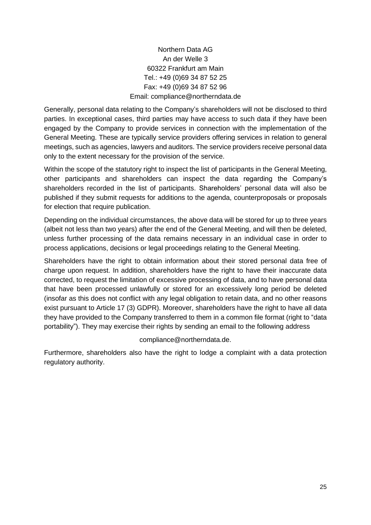# Northern Data AG An der Welle 3 60322 Frankfurt am Main Tel.: +49 (0)69 34 87 52 25 Fax: +49 (0)69 34 87 52 96 Email: compliance@northerndata.de

Generally, personal data relating to the Company's shareholders will not be disclosed to third parties. In exceptional cases, third parties may have access to such data if they have been engaged by the Company to provide services in connection with the implementation of the General Meeting. These are typically service providers offering services in relation to general meetings, such as agencies, lawyers and auditors. The service providers receive personal data only to the extent necessary for the provision of the service.

Within the scope of the statutory right to inspect the list of participants in the General Meeting, other participants and shareholders can inspect the data regarding the Company's shareholders recorded in the list of participants. Shareholders' personal data will also be published if they submit requests for additions to the agenda, counterproposals or proposals for election that require publication.

Depending on the individual circumstances, the above data will be stored for up to three years (albeit not less than two years) after the end of the General Meeting, and will then be deleted, unless further processing of the data remains necessary in an individual case in order to process applications, decisions or legal proceedings relating to the General Meeting.

Shareholders have the right to obtain information about their stored personal data free of charge upon request. In addition, shareholders have the right to have their inaccurate data corrected, to request the limitation of excessive processing of data, and to have personal data that have been processed unlawfully or stored for an excessively long period be deleted (insofar as this does not conflict with any legal obligation to retain data, and no other reasons exist pursuant to Article 17 (3) GDPR). Moreover, shareholders have the right to have all data they have provided to the Company transferred to them in a common file format (right to "data portability"). They may exercise their rights by sending an email to the following address

compliance@northerndata.de.

Furthermore, shareholders also have the right to lodge a complaint with a data protection regulatory authority.